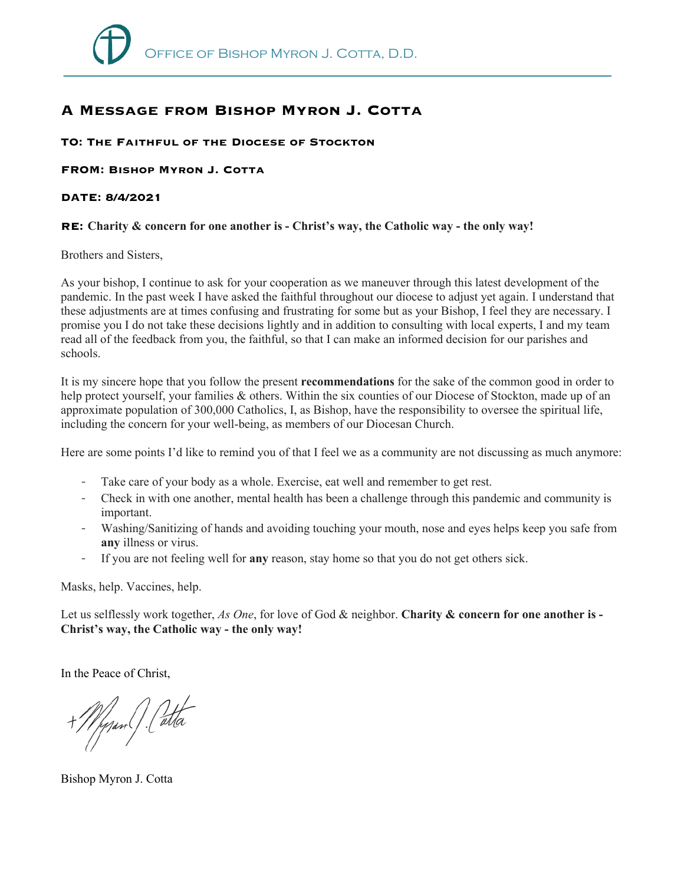## **A Message from Bishop Myron J. Cotta**

## **TO: The Faithful of the Diocese of Stockton**

**FROM: Bishop Myron J. Cotta**

## **DATE: 8/4/2021**

## **RE: Charity & concern for one another is - Christ's way, the Catholic way - the only way!**

Brothers and Sisters,

As your bishop, I continue to ask for your cooperation as we maneuver through this latest development of the pandemic. In the past week I have asked the faithful throughout our diocese to adjust yet again. I understand that these adjustments are at times confusing and frustrating for some but as your Bishop, I feel they are necessary. I promise you I do not take these decisions lightly and in addition to consulting with local experts, I and my team read all of the feedback from you, the faithful, so that I can make an informed decision for our parishes and schools.

It is my sincere hope that you follow the present **recommendations** for the sake of the common good in order to help protect yourself, your families & others. Within the six counties of our Diocese of Stockton, made up of an approximate population of 300,000 Catholics, I, as Bishop, have the responsibility to oversee the spiritual life, including the concern for your well-being, as members of our Diocesan Church.

Here are some points I'd like to remind you of that I feel we as a community are not discussing as much anymore:

- Take care of your body as a whole. Exercise, eat well and remember to get rest.
- Check in with one another, mental health has been a challenge through this pandemic and community is important.
- Washing/Sanitizing of hands and avoiding touching your mouth, nose and eyes helps keep you safe from **any** illness or virus.
- If you are not feeling well for **any** reason, stay home so that you do not get others sick.

Masks, help. Vaccines, help.

Let us selflessly work together, *As One*, for love of God & neighbor. **Charity & concern for one another is - Christ's way, the Catholic way - the only way!**

In the Peace of Christ,

+Mynm(). Catta

Bishop Myron J. Cotta